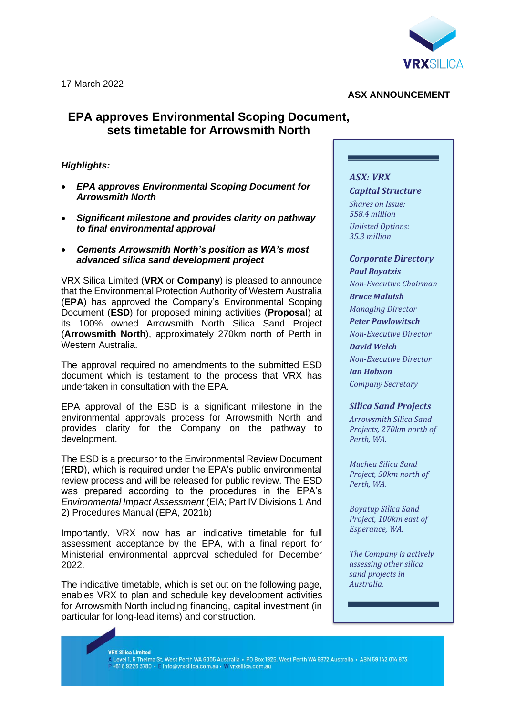

### **ASX ANNOUNCEMENT**

# **EPA approves Environmental Scoping Document, sets timetable for Arrowsmith North**

### *Highlights:*

- *EPA approves Environmental Scoping Document for Arrowsmith North*
- *Significant milestone and provides clarity on pathway to final environmental approval*
- *Cements Arrowsmith North's position as WA's most advanced silica sand development project*

VRX Silica Limited (**VRX** or **Company**) is pleased to announce that the Environmental Protection Authority of Western Australia (**EPA**) has approved the Company's Environmental Scoping Document (**ESD**) for proposed mining activities (**Proposal**) at its 100% owned Arrowsmith North Silica Sand Project (**Arrowsmith North**), approximately 270km north of Perth in Western Australia.

The approval required no amendments to the submitted ESD document which is testament to the process that VRX has undertaken in consultation with the EPA.

EPA approval of the ESD is a significant milestone in the environmental approvals process for Arrowsmith North and provides clarity for the Company on the pathway to development.

The ESD is a precursor to the Environmental Review Document (**ERD**), which is required under the EPA's public environmental review process and will be released for public review. The ESD was prepared according to the procedures in the EPA's *Environmental Impact Assessment* (EIA; Part IV Divisions 1 And 2) Procedures Manual (EPA, 2021b)

Importantly, VRX now has an indicative timetable for full assessment acceptance by the EPA, with a final report for Ministerial environmental approval scheduled for December 2022.

The indicative timetable, which is set out on the following page, enables VRX to plan and schedule key development activities for Arrowsmith North including financing, capital investment (in particular for long-lead items) and construction.

## *ASX: VRX Capital Structure*

*Shares on Issue: 558.4 million Unlisted Options: 35.3 million*

# *Corporate Directory*

*Paul Boyatzis Non-Executive Chairman Bruce Maluish Managing Director Peter Pawlowitsch Non-Executive Director David Welch Non-Executive Director Ian Hobson Company Secretary*

## *Silica Sand Projects*

*Arrowsmith Silica Sand Projects, 270km north of Perth, WA.*

*Muchea Silica Sand Project, 50km north of Perth, WA.*

*Boyatup Silica Sand Project, 100km east of Esperance, WA.*

*The Company is actively assessing other silica sand projects in Australia.*

#### **VRX Silica Limited**

-na cilica Ellinca<br>A Level 1, 6 Thelma St, West Perth WA 6005 Australia • PO Box 1925, West Perth WA 6872 Australia • ABN 59 142 014 873 P +618 9226 3780 · E info@vrxsilica.com.au · W vrxsilica.com.au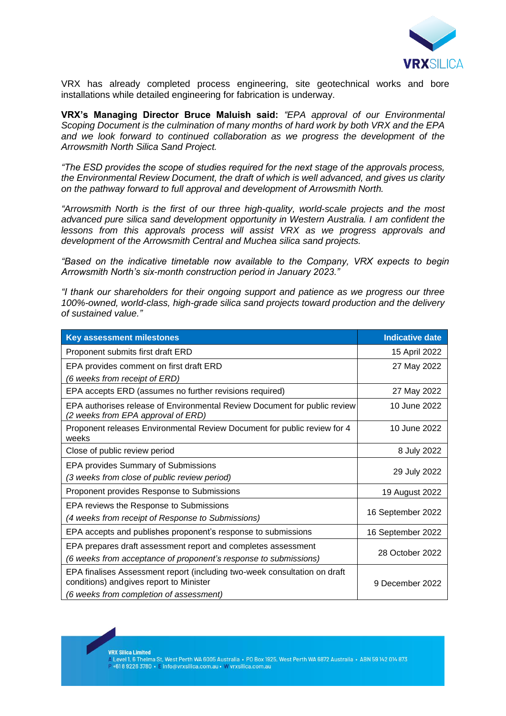

VRX has already completed process engineering, site geotechnical works and bore installations while detailed engineering for fabrication is underway.

**VRX's Managing Director Bruce Maluish said:** *"EPA approval of our Environmental Scoping Document is the culmination of many months of hard work by both VRX and the EPA and we look forward to continued collaboration as we progress the development of the Arrowsmith North Silica Sand Project.* 

*"The ESD provides the scope of studies required for the next stage of the approvals process, the Environmental Review Document, the draft of which is well advanced, and gives us clarity on the pathway forward to full approval and development of Arrowsmith North.*

*"Arrowsmith North is the first of our three high-quality, world-scale projects and the most advanced pure silica sand development opportunity in Western Australia. I am confident the lessons from this approvals process will assist VRX as we progress approvals and development of the Arrowsmith Central and Muchea silica sand projects.*

*"Based on the indicative timetable now available to the Company, VRX expects to begin Arrowsmith North's six-month construction period in January 2023."* 

*"I thank our shareholders for their ongoing support and patience as we progress our three 100%-owned, world-class, high-grade silica sand projects toward production and the delivery of sustained value."* 

| <b>Key assessment milestones</b>                                                                                      | <b>Indicative date</b> |
|-----------------------------------------------------------------------------------------------------------------------|------------------------|
| Proponent submits first draft ERD                                                                                     | 15 April 2022          |
| EPA provides comment on first draft ERD                                                                               | 27 May 2022            |
| (6 weeks from receipt of ERD)                                                                                         |                        |
| EPA accepts ERD (assumes no further revisions required)                                                               | 27 May 2022            |
| EPA authorises release of Environmental Review Document for public review<br>(2 weeks from EPA approval of ERD)       | 10 June 2022           |
| Proponent releases Environmental Review Document for public review for 4<br>weeks                                     | 10 June 2022           |
| Close of public review period                                                                                         | 8 July 2022            |
| <b>EPA provides Summary of Submissions</b>                                                                            | 29 July 2022           |
| (3 weeks from close of public review period)                                                                          |                        |
| Proponent provides Response to Submissions                                                                            | 19 August 2022         |
| EPA reviews the Response to Submissions                                                                               |                        |
| (4 weeks from receipt of Response to Submissions)                                                                     | 16 September 2022      |
| EPA accepts and publishes proponent's response to submissions                                                         | 16 September 2022      |
| EPA prepares draft assessment report and completes assessment                                                         | 28 October 2022        |
| (6 weeks from acceptance of proponent's response to submissions)                                                      |                        |
| EPA finalises Assessment report (including two-week consultation on draft<br>conditions) and gives report to Minister | 9 December 2022        |
| (6 weeks from completion of assessment)                                                                               |                        |

**VRX Silica Limited** 

-na ciliou Ellincu<br>A Level 1, 6 Thelma St, West Perth WA 6005 Australia • PO Box 1925, West Perth WA 6872 Australia • ABN 59 142 014 873 +61892263780 · Einfo@vrxsilica.com.au · W vrxsilica.com.au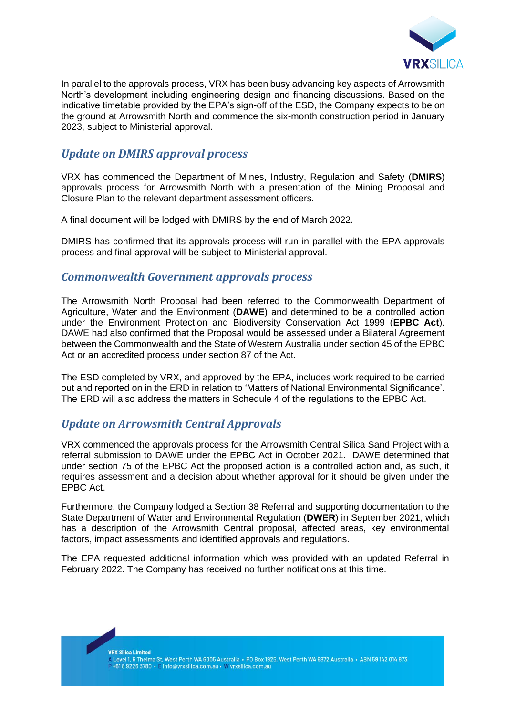

In parallel to the approvals process, VRX has been busy advancing key aspects of Arrowsmith North's development including engineering design and financing discussions. Based on the indicative timetable provided by the EPA's sign-off of the ESD, the Company expects to be on the ground at Arrowsmith North and commence the six-month construction period in January 2023, subject to Ministerial approval.

# *Update on DMIRS approval process*

VRX has commenced the Department of Mines, Industry, Regulation and Safety (**DMIRS**) approvals process for Arrowsmith North with a presentation of the Mining Proposal and Closure Plan to the relevant department assessment officers.

A final document will be lodged with DMIRS by the end of March 2022.

DMIRS has confirmed that its approvals process will run in parallel with the EPA approvals process and final approval will be subject to Ministerial approval.

# *Commonwealth Government approvals process*

The Arrowsmith North Proposal had been referred to the Commonwealth Department of Agriculture, Water and the Environment (**DAWE**) and determined to be a controlled action under the Environment Protection and Biodiversity Conservation Act 1999 (**EPBC Act**). DAWE had also confirmed that the Proposal would be assessed under a Bilateral Agreement between the Commonwealth and the State of Western Australia under section 45 of the EPBC Act or an accredited process under section 87 of the Act.

The ESD completed by VRX, and approved by the EPA, includes work required to be carried out and reported on in the ERD in relation to 'Matters of National Environmental Significance'. The ERD will also address the matters in Schedule 4 of the regulations to the EPBC Act.

# *Update on Arrowsmith Central Approvals*

VRX commenced the approvals process for the Arrowsmith Central Silica Sand Project with a referral submission to DAWE under the EPBC Act in October 2021. DAWE determined that under section 75 of the EPBC Act the proposed action is a controlled action and, as such, it requires assessment and a decision about whether approval for it should be given under the EPBC Act.

Furthermore, the Company lodged a Section 38 Referral and supporting documentation to the State Department of Water and Environmental Regulation (**DWER**) in September 2021, which has a description of the Arrowsmith Central proposal, affected areas, key environmental factors, impact assessments and identified approvals and regulations.

The EPA requested additional information which was provided with an updated Referral in February 2022. The Company has received no further notifications at this time.

**VRX Silica Limited**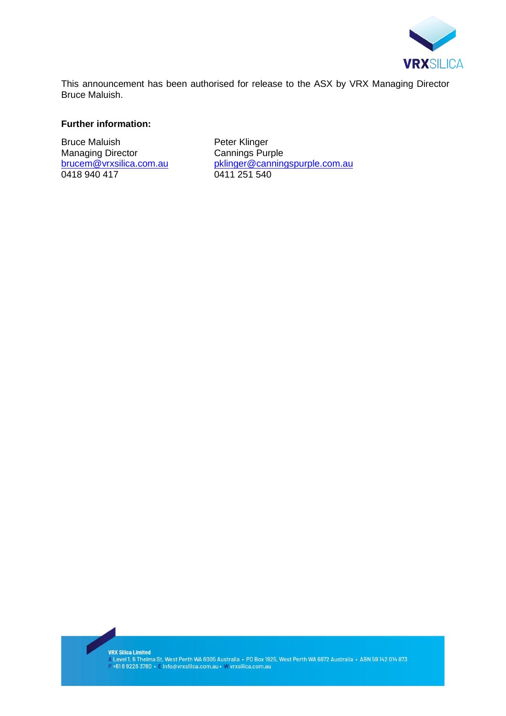

This announcement has been authorised for release to the ASX by VRX Managing Director Bruce Maluish.

### **Further information:**

Bruce Maluish **Peter Klinger**<br>Managing Director **Property Cannings Purple** Managing Director<br>brucem@vrxsilica.com.au 0418 940 417

[pklinger@canningspurple.com.au](mailto:pklinger@canningspurple.com.au)<br>0411 251 540

**VRX Silica Limited** 

vra sunca Linnea<br>|- Level 1, 6 Thelma St, West Perth WA 6005 Australia • P0 Box 1925, West Perth WA 6872 Australia • ABN 59 142 014 873<br>|- +61 8 9226 3780 • E info@vrxsilica.com.au • W vrxsilica.com.au